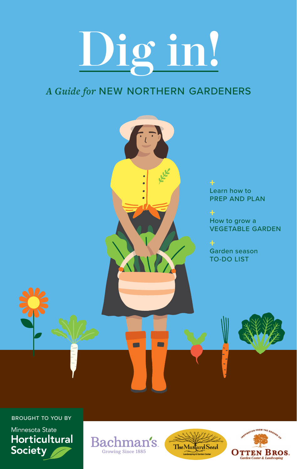# **Dig in!**

#### *A Guide for* NEW NORTHERN GARDENERS



BROUGHT TO YOU BY Minnesota State **Horticultural Society** 





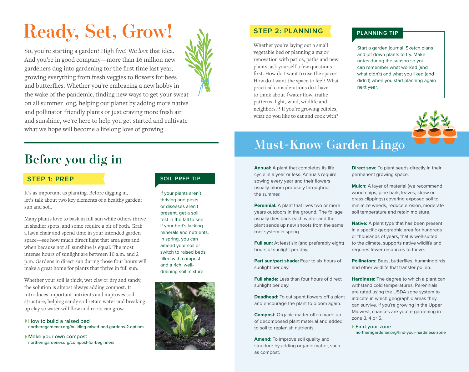## **Ready, Set, Grow!**



So, you're starting a garden? High five! We *love* that idea. And you're in good company—more than 16 million new gardeners dug into gardening for the first time last year, growing everything from fresh veggies to flowers for bees and butterflies. Whether you're embracing a new hobby in the wake of the pandemic, finding new ways to get your sweat on all summer long, helping our planet by adding more native and pollinator-friendly plants or just craving more fresh air and sunshine, we're here to help you get started and cultivate what we hope will become a lifelong love of growing.

## **Before you dig in**

#### **STEP 1: PREP**

It's as important as planting. Before digging in, let's talk about two key elements of a healthy garden: sun and soil.

Many plants love to bask in full sun while others thrive in shadier spots, and some require a bit of both. Grab a lawn chair and spend time in your intended garden space—see how much direct light that area gets and when because not all sunshine is equal. The most intense hours of sunlight are between 10 a.m. and 2 p.m. Gardens in direct sun during those four hours will make a great home for plants that thrive in full sun.

Whether your soil is thick, wet clay or dry and sandy, the solution is almost always adding compost. It introduces important nutrients and improves soil structure, helping sandy soil retain water and breaking up clay so water will flow and roots can grow.

How to build a raised bed northerngardener.org/building-raised-bed-gardens-2-options

Make your own compost northerngardener.org/compost-for-beginners

#### **SOIL PREP TIP**

If your plants aren't thriving and pests or diseases aren't present, get a soil test in the fall to see if your bed's lacking minerals and nutrients. In spring, you can amend your soil or switch to raised beds filled with compost and a rich, welldraining soil mixture.



#### **STEP 2: PLANNING**

Whether you're laying out a small vegetable bed or planning a major renovation with patios, paths and new plants, ask yourself a few questions first. How do I want to use the space? How do I want the space to feel? What practical considerations do I have to think about (water flow, traffic patterns, light, wind, wildlife and neighbors)? If you're growing edibles, what do you like to eat and cook with?

#### **PLANNING TIP**

Start a garden journal. Sketch plans and jot down plants to try. Make notes during the season so you can remember what worked (and what didn't) and what you liked (and didn't) when you start planning again next year.

### **Must-Know Garden Lingo**

**Annual:** A plant that completes its life cycle in a year or less. Annuals require sowing every year and their flowers usually bloom profusely throughout the summer.

**Perennial:** A plant that lives two or more years outdoors in the ground. The foliage usually dies back each winter and the plant sends up new shoots from the same root system in spring.

**Full sun:** At least six (and preferably eight) hours of sunlight per day.

**Part sun/part shade:** Four to six hours of sunlight per day.

**Full shade:** Less than four hours of direct sunlight per day.

**Deadhead:** To cut spent flowers off a plant and encourage the plant to bloom again.

**Compost:** Organic matter often made up of decomposed plant material and added to soil to replenish nutrients.

**Amend:** To improve soil quality and structure by adding organic matter, such as compost.

**Direct sow:** To plant seeds directly in their permanent growing space.

**Mulch:** A layer of material (we recommend wood chips, pine bark, leaves, straw or grass clippings) covering exposed soil to minimize weeds, reduce erosion, moderate soil temperature and retain moisture.

**Native:** A plant type that has been present in a specific geographic area for hundreds or thousands of years, that is well-suited to the climate, supports native wildlife and requires fewer resources to thrive.

**Pollinators:** Bees, butterflies, hummingbirds and other wildlife that transfer pollen.

**Hardiness:** The degree to which a plant can withstand cold temperatures. Perennials are rated using the USDA zone system to indicate in which geographic areas they can survive. If you're growing in the Upper Midwest, chances are you're gardening in zone 3, 4 or 5.

Find your zone northerngardener.org/find-your-hardiness-zone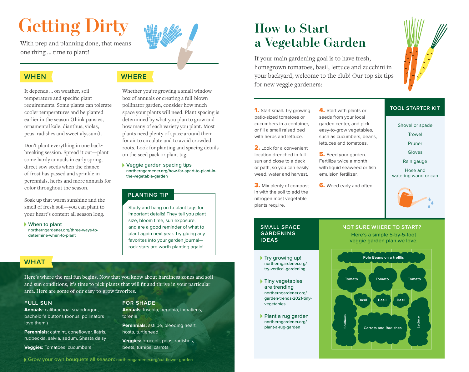## **Getting Dirty**

With prep and planning done, that means one thing … time to plant!

#### **WHEN**

It depends … on weather, soil temperature and specific plant requirements. Some plants can tolerate cooler temperatures and be planted earlier in the season (think pansies, ornamental kale, dianthus, violas, peas, radishes and sweet alyssum).

Don't plant everything in one backbreaking session. Spread it out—plant some hardy annuals in early spring, direct sow seeds when the chance of frost has passed and sprinkle in perennials, herbs and more annuals for color throughout the season.

Soak up that warm sunshine and the smell of fresh soil—you can plant to your heart's content all season long.

When to plant northerngardener.org/three-ways-todetermine-when-to-plant

#### **WHERE**



Veggie garden spacing tips northerngardener.org/how-far-apart-to-plant-inthe-vegetable-garden

#### **PLANTING TIP**

Study and hang on to plant tags for important details! They tell you plant size, bloom time, sun exposure, and are a good reminder of what to plant again next year. Try gluing any favorites into your garden journal rock stars are worth planting again!

**Annuals:** fuschia, begonia, impatiens,

**Perennials:** astilbe, bleeding heart,

**Veggies:** broccoli, peas, radishes,

#### **WHAT**

Here's where the real fun begins. Now that you know about hardiness zones and soil and sun conditions, it's time to pick plants that will fit and thrive in your particular area. Here are some of our easy-to-grow favorites.

**FOR SHADE**

hosta, turtlehead

beets, turnips, carrots

torenia

#### **FULL SUN**

**Annuals:** calibrachoa, snapdragon, bachelor's buttons (bonus: pollinators love them!)

**Perennials:** catmint, coneflower, liatris, rudbeckia, salvia, sedum, Shasta daisy

**Veggies:** Tomatoes, cucumbers

### **How to Start a Vegetable Garden**

If your main gardening goal is to have fresh, homegrown tomatoes, basil, lettuce and zucchini in your backyard, welcome to the club! Our top six tips for new veggie gardeners:



#### 1. Start small. Try growing patio-sized tomatoes or cucumbers in a container, or fill a small raised bed with herbs and lettuce.

2. Look for a convenient location drenched in full sun and close to a deck or path, so you can easily weed, water and harvest.

3. Mix plenty of compost in with the soil to add the nitrogen most vegetable plants require.

4. Start with plants or seeds from your local garden center, and pick easy-to-grow vegetables, such as cucumbers, beans, lettuces and tomatoes.

**5.** Feed your garden. Fertilize twice a month with liquid seaweed or fish emulsion fertilizer.

**6.** Weed early and often.

#### **TOOL STARTER KIT**

Shovel or spade

**Trowel** 

Pruner

Gloves

Rain gauge

Hose and watering wand or can



#### **SMALL-SPACE GARDENING IDEAS**

- ▶ Try growing up! northerngardener.org/ try-vertical-gardening
- ▶ Tiny vegetables are trending northerngardener.org/ garden-trends-2021-tinyvegetables
- Plant a rug garden northerngardener.org/ plant-a-rug-garden

#### **NOT SURE WHERE TO START?**

Here's a simple 5-by-5-foot veggie garden plan we love.

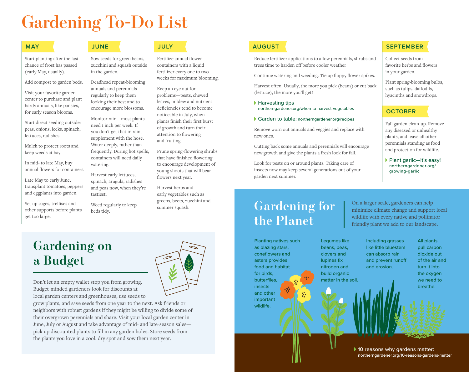## **Gardening To-Do List**

Start planting after the last chance of frost has passed (early May, usually).

Add compost to garden beds.

Visit your favorite garden center to purchase and plant hardy annuals, like pansies, for early season blooms.

Start direct seeding outside: peas, onions, leeks, spinach, lettuces, radishes.

Mulch to protect roots and keep weeds at bay.

In mid- to late May, buy annual flowers for containers.

Late May to early June, transplant tomatoes, peppers and eggplants into garden.

Set up cages, trellises and other supports before plants get too large.

**a Budget**

**Gardening on** 

Sow seeds for green beans, zucchini and squash outside in the garden.

Deadhead repeat-blooming annuals and perennials regularly to keep them looking their best and to encourage more blossoms.

Monitor rain—most plants need 1 inch per week. If you don't get that in rain, supplement with the hose. Water deeply, rather than frequently. During hot spells, containers will need daily watering.

Harvest early lettuces, spinach, arugula, radishes and peas now, when they're tastiest.

Weed regularly to keep beds tidy.

pick up discounted plants to fill in any garden holes. Store seeds from the plants you love in a cool, dry spot and sow them next year.

Fertilize annual flower containers with a liquid fertilizer every one to two weeks for maximum blooming.

Keep an eye out for problems—pests, chewed leaves, mildew and nutrient deficiencies tend to become noticeable in July, when plants finish their first burst of growth and turn their attention to flowering and fruiting.

Prune spring-flowering shrubs that have finished flowering to encourage development of young shoots that will bear flowers next year.

Harvest herbs and early vegetables such as greens, beets, zucchini and summer squash.

#### **MAY JUNE JULY AUGUST**

Reduce fertilizer applications to allow perennials, shrubs and trees time to harden off before cooler weather

Continue watering and weeding. Tie up floppy flower spikes.

Harvest often. Usually, the more you pick (beans) or cut back (lettuce), the more you'll get!

▶ Harvesting tips northerngardener.org/when-to-harvest-vegetables

#### Garden to table: northerngardener.org/recipes

Remove worn out annuals and veggies and replace with new ones.

Cutting back some annuals and perennials will encourage new growth and give the plants a fresh look for fall.

Look for pests on or around plants. Taking care of insects now may keep several generations out of your garden next summer.

#### **SEPTEMBER**

Collect seeds from favorite herbs and flowers in your garden.

Plant spring-blooming bulbs, such as tulips, daffodils, hyacinths and snowdrops.

#### **OCTOBER**

Fall garden clean-up. Remove any diseased or unhealthy plants, and leave all other perennials standing as food and protection for wildlife.

Plant garlic-it's easy! northerngardener.org/ growing-garlic

### **Gardening for the Planet**

for birds, butterflies, **insects** and other important wildlife.

Planting natives such as blazing stars, coneflowers and asters provides food and habitat Legumes like beans, peas, clovers and lupines fix nitrogen and build organic matter in the soil.

wildlife with every native and pollinatorfriendly plant we add to our landscape. All plants Including grasses like little bluestem

> can absorb rain and prevent runoff and erosion.

On a larger scale, gardeners can help minimize climate change and support local

> pull carbon dioxide out of the air and turn it into the oxygen we need to breathe.

Don't let an empty wallet stop you from growing. Budget-minded gardeners look for discounts at local garden centers and greenhouses, use seeds to grow plants, and save seeds from one year to the next. Ask friends or neighbors with robust gardens if they might be willing to divide some of their overgrown perennials and share. Visit your local garden center in June, July or August and take advantage of mid- and late-season sales—



▶ 10 reasons why gardens matter: northerngardener.org/10-reasons-gardens-matter